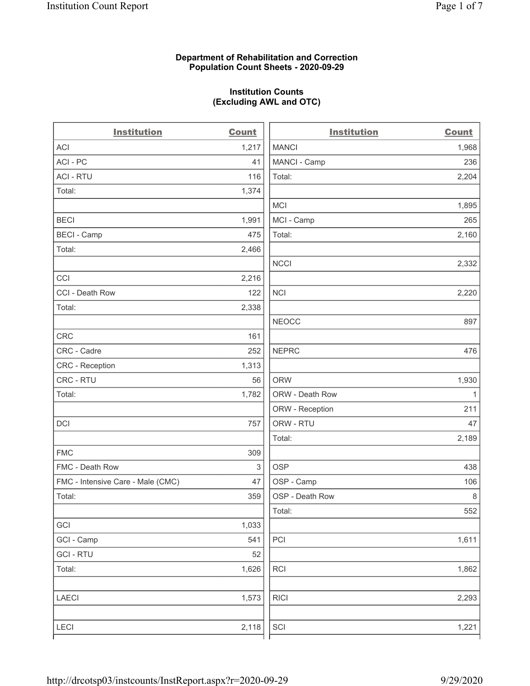# Department of Rehabilitation and Correction Population Count Sheets - 2020-09-29

# Institution Counts (Excluding AWL and OTC)

. .

| <b>Institution</b>                | <b>Count</b> | <b>Institution</b> | <b>Count</b> |
|-----------------------------------|--------------|--------------------|--------------|
| <b>ACI</b>                        | 1,217        | <b>MANCI</b>       | 1,968        |
| ACI-PC                            | 41           | MANCI - Camp       | 236          |
| <b>ACI - RTU</b>                  | 116          | Total:             | 2,204        |
| Total:                            | 1,374        |                    |              |
|                                   |              | <b>MCI</b>         | 1,895        |
| <b>BECI</b>                       | 1,991        | MCI - Camp         | 265          |
| <b>BECI - Camp</b>                | 475          | Total:             | 2,160        |
| Total:                            | 2,466        |                    |              |
|                                   |              | <b>NCCI</b>        | 2,332        |
| CCI                               | 2,216        |                    |              |
| CCI - Death Row                   | 122          | <b>NCI</b>         | 2,220        |
| Total:                            | 2,338        |                    |              |
|                                   |              | <b>NEOCC</b>       | 897          |
| <b>CRC</b>                        | 161          |                    |              |
| CRC - Cadre                       | 252          | <b>NEPRC</b>       | 476          |
| <b>CRC</b> - Reception            | 1,313        |                    |              |
| CRC - RTU                         | 56           | <b>ORW</b>         | 1,930        |
| Total:                            | 1,782        | ORW - Death Row    | $\mathbf{1}$ |
|                                   |              | ORW - Reception    | 211          |
| DCI                               | 757          | ORW - RTU          | 47           |
|                                   |              | Total:             | 2,189        |
| <b>FMC</b>                        | 309          |                    |              |
| FMC - Death Row                   | $\,$ 3 $\,$  | <b>OSP</b>         | 438          |
| FMC - Intensive Care - Male (CMC) | 47           | OSP - Camp         | 106          |
| Total:                            | 359          | OSP - Death Row    | 8            |
|                                   |              | Total:             | 552          |
| GCI                               | 1,033        |                    |              |
| GCI - Camp                        | 541          | $\mathsf{PCI}$     | 1,611        |
| <b>GCI-RTU</b>                    | 52           |                    |              |
| Total:                            | 1,626        | RCI                | 1,862        |
| <b>LAECI</b>                      | 1,573        | <b>RICI</b>        | 2,293        |
| <b>LECI</b>                       | 2,118        | SCI                | 1,221        |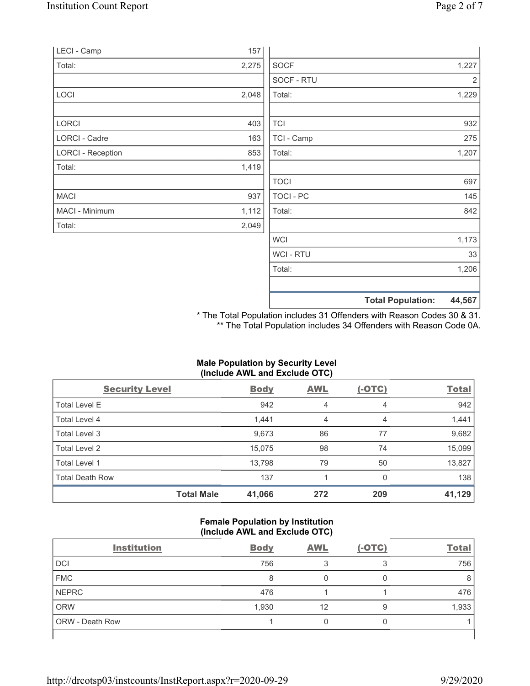|                          |       |             | <b>Total Population:</b> | 44,567 |
|--------------------------|-------|-------------|--------------------------|--------|
|                          |       |             |                          |        |
|                          |       | Total:      |                          | 1,206  |
|                          |       | WCI - RTU   |                          | 33     |
|                          |       | <b>WCI</b>  |                          | 1,173  |
| Total:                   | 2,049 |             |                          |        |
| MACI - Minimum           | 1,112 | Total:      |                          | 842    |
| <b>MACI</b>              | 937   | TOCI - PC   |                          | 145    |
|                          |       | <b>TOCI</b> |                          | 697    |
| Total:                   | 1,419 |             |                          |        |
| <b>LORCI - Reception</b> | 853   | Total:      |                          | 1,207  |
| <b>LORCI - Cadre</b>     | 163   | TCI - Camp  |                          | 275    |
| LORCI                    | 403   | <b>TCI</b>  |                          | 932    |
|                          |       |             |                          |        |
| LOCI                     | 2,048 | Total:      |                          | 1,229  |
|                          |       | SOCF - RTU  |                          | 2      |
| Total:                   | 2,275 | <b>SOCF</b> |                          | 1,227  |
| LECI - Camp              | 157   |             |                          |        |

\* The Total Population includes 31 Offenders with Reason Codes 30 & 31. \*\* The Total Population includes 34 Offenders with Reason Code 0A.

# Male Population by Security Level (Include AWL and Exclude OTC)

| <b>Security Level</b>  |                   | <b>Body</b> | <b>AWL</b> | $(-OTC)$ | <b>Total</b> |
|------------------------|-------------------|-------------|------------|----------|--------------|
| <b>Total Level E</b>   |                   | 942         | 4          | 4        | 942          |
| Total Level 4          |                   | 1,441       | 4          | 4        | 1,441        |
| Total Level 3          |                   | 9,673       | 86         | 77       | 9,682        |
| Total Level 2          |                   | 15,075      | 98         | 74       | 15,099       |
| Total Level 1          |                   | 13,798      | 79         | 50       | 13,827       |
| <b>Total Death Row</b> |                   | 137         |            | $\Omega$ | 138          |
|                        | <b>Total Male</b> | 41,066      | 272        | 209      | 41,129       |

#### Female Population by Institution (Include AWL and Exclude OTC)

| <b>Institution</b>     | <b>Body</b> | <b>AWL</b> | $(-OTC)$ | <b>Total</b> |
|------------------------|-------------|------------|----------|--------------|
| DCI                    | 756         |            | 3        | 756          |
| <b>FMC</b>             | 8           |            |          | 8            |
| <b>NEPRC</b>           | 476         |            |          | 476          |
| <b>ORW</b>             | 1,930       | 12         | 9        | 1,933        |
| <b>ORW</b> - Death Row |             |            |          |              |
|                        |             |            |          |              |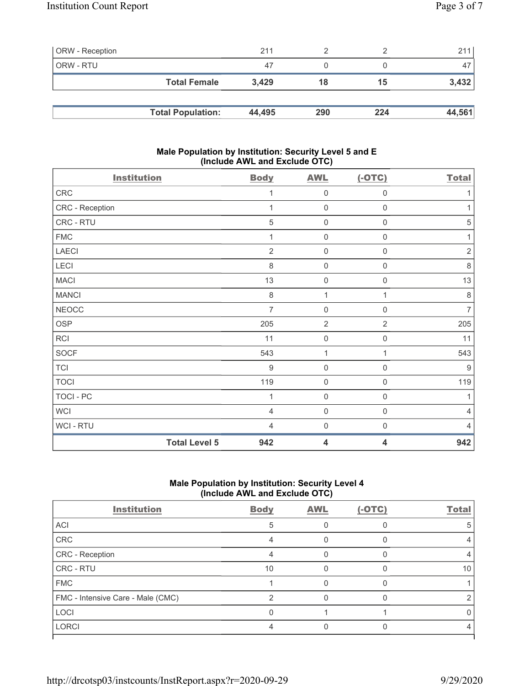| <b>ORW</b> - Reception |                          | 211    |     |     | 211    |
|------------------------|--------------------------|--------|-----|-----|--------|
| ORW - RTU              |                          | 47     |     |     | 47     |
|                        | <b>Total Female</b>      | 3.429  | 18  | 15  | 3,432  |
|                        |                          |        |     |     |        |
|                        | <b>Total Population:</b> | 44,495 | 290 | 224 | 44,561 |

# Male Population by Institution: Security Level 5 and E (Include AWL and Exclude OTC)

| <b>Institution</b> |                      | <b>Body</b>    | <b>AWL</b>          | $(-OTC)$            | <b>Total</b>   |
|--------------------|----------------------|----------------|---------------------|---------------------|----------------|
| CRC                |                      | 1              | $\mathsf{O}\xspace$ | $\mathsf{O}\xspace$ | 1              |
| CRC - Reception    |                      | 1              | $\mathbf 0$         | $\mathbf 0$         | 1              |
| CRC - RTU          |                      | 5              | $\mathbf 0$         | $\mathbf 0$         | 5              |
| <b>FMC</b>         |                      | 1              | $\mathbf 0$         | $\mathbf 0$         | 1              |
| <b>LAECI</b>       |                      | $\overline{2}$ | $\mathsf{O}\xspace$ | 0                   | $\sqrt{2}$     |
| LECI               |                      | 8              | $\mathbf 0$         | $\boldsymbol{0}$    | 8              |
| <b>MACI</b>        |                      | 13             | $\mathsf{O}\xspace$ | $\boldsymbol{0}$    | 13             |
| <b>MANCI</b>       |                      | $\,8\,$        | 1                   | 1                   | $\,8\,$        |
| <b>NEOCC</b>       |                      | $\overline{7}$ | $\mathsf{O}\xspace$ | $\mathsf{O}\xspace$ | $\overline{7}$ |
| <b>OSP</b>         |                      | 205            | $\sqrt{2}$          | $\overline{2}$      | 205            |
| RCI                |                      | 11             | $\mathbf 0$         | $\,0\,$             | 11             |
| <b>SOCF</b>        |                      | 543            | 1                   | 1                   | 543            |
| <b>TCI</b>         |                      | 9              | $\mathsf{O}\xspace$ | $\mathsf{O}\xspace$ | 9              |
| <b>TOCI</b>        |                      | 119            | $\mathsf{O}\xspace$ | $\mathbf 0$         | 119            |
| <b>TOCI - PC</b>   |                      | 1              | $\mathbf 0$         | $\mathbf 0$         | 1              |
| <b>WCI</b>         |                      | 4              | $\mathbf 0$         | $\mathbf 0$         | $\overline{4}$ |
| WCI - RTU          |                      | 4              | $\mathbf 0$         | $\mathbf 0$         | 4              |
|                    | <b>Total Level 5</b> | 942            | 4                   | 4                   | 942            |

# Male Population by Institution: Security Level 4 (Include AWL and Exclude OTC)

| <b>Institution</b>                | <b>Body</b> | <b>AWL</b> | $(-OTC)$ | <b>Total</b> |
|-----------------------------------|-------------|------------|----------|--------------|
| ACI                               | 5           |            |          |              |
| CRC                               |             |            |          |              |
| CRC - Reception                   |             |            |          |              |
| CRC - RTU                         | 10          |            |          | 10           |
| <b>FMC</b>                        |             |            |          |              |
| FMC - Intensive Care - Male (CMC) | ⌒           |            |          |              |
| LOCI                              |             |            |          |              |
| <b>LORCI</b>                      |             |            |          |              |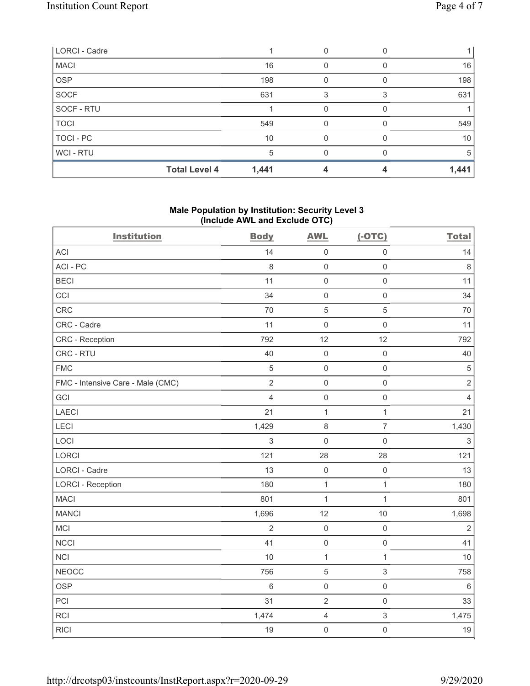| LORCI - Cadre |                      |       |                  |       |
|---------------|----------------------|-------|------------------|-------|
| <b>MACI</b>   |                      | 16    |                  | 16    |
| <b>OSP</b>    |                      | 198   | $\left( \right)$ | 198   |
| <b>SOCF</b>   |                      | 631   |                  | 631   |
| SOCF - RTU    |                      |       |                  |       |
| <b>TOCI</b>   |                      | 549   | O                | 549   |
| TOCI - PC     |                      | 10    |                  | 10    |
| WCI - RTU     |                      | 5     |                  | 5     |
|               | <b>Total Level 4</b> | 1,441 |                  | 1,441 |

# Male Population by Institution: Security Level 3 (Include AWL and Exclude OTC)

| <b>Institution</b>                | <b>Body</b>    | <b>AWL</b>          | $(-OTC)$            | <b>Total</b>   |
|-----------------------------------|----------------|---------------------|---------------------|----------------|
| ACI                               | 14             | $\mathbf 0$         | $\mathsf{O}\xspace$ | 14             |
| ACI-PC                            | 8              | $\mathbf 0$         | $\mathsf{O}\xspace$ | $\,8\,$        |
| <b>BECI</b>                       | 11             | $\mathsf 0$         | $\mathsf{O}\xspace$ | 11             |
| CCI                               | 34             | $\mathsf{O}\xspace$ | $\mathsf{O}\xspace$ | 34             |
| CRC                               | 70             | $\mathbf 5$         | $\mathbf 5$         | $70$           |
| CRC - Cadre                       | 11             | $\mathbf 0$         | $\mathsf 0$         | 11             |
| CRC - Reception                   | 792            | 12                  | 12                  | 792            |
| CRC - RTU                         | 40             | $\mathbf 0$         | $\mathsf{O}\xspace$ | 40             |
| <b>FMC</b>                        | $\sqrt{5}$     | $\mathbf 0$         | $\mathsf{O}\xspace$ | $\sqrt{5}$     |
| FMC - Intensive Care - Male (CMC) | $\overline{2}$ | $\mathsf 0$         | $\mathsf{O}\xspace$ | $\sqrt{2}$     |
| GCI                               | $\overline{4}$ | $\mathbf 0$         | $\mathsf{O}\xspace$ | $\overline{4}$ |
| LAECI                             | 21             | $\mathbf{1}$        | $\mathbf{1}$        | 21             |
| LECI                              | 1,429          | $\,8\,$             | $\overline{7}$      | 1,430          |
| LOCI                              | 3              | $\mathbf 0$         | $\mathsf{O}\xspace$ | $\mathfrak{S}$ |
| LORCI                             | 121            | 28                  | 28                  | 121            |
| <b>LORCI - Cadre</b>              | 13             | $\mathbf 0$         | $\mathsf{O}\xspace$ | 13             |
| <b>LORCI - Reception</b>          | 180            | $\mathbf 1$         | $\mathbf{1}$        | 180            |
| <b>MACI</b>                       | 801            | $\mathbf{1}$        | $\mathbf{1}$        | 801            |
| <b>MANCI</b>                      | 1,696          | 12                  | 10                  | 1,698          |
| MCI                               | $\overline{2}$ | $\mathbf 0$         | $\mathsf{O}\xspace$ | $\overline{2}$ |
| <b>NCCI</b>                       | 41             | $\mathbf 0$         | $\mathsf{O}\xspace$ | 41             |
| <b>NCI</b>                        | 10             | $\mathbf{1}$        | $\mathbf{1}$        | 10             |
| <b>NEOCC</b>                      | 756            | $\sqrt{5}$          | 3                   | 758            |
| <b>OSP</b>                        | $\,6\,$        | $\mathbf 0$         | $\mathsf 0$         | $\,6\,$        |
| PCI                               | 31             | $\mathbf 2$         | $\mathsf{O}\xspace$ | 33             |
| <b>RCI</b>                        | 1,474          | $\sqrt{4}$          | 3                   | 1,475          |
| RICI                              | 19             | $\mathsf{O}$        | $\mathsf{O}\xspace$ | 19             |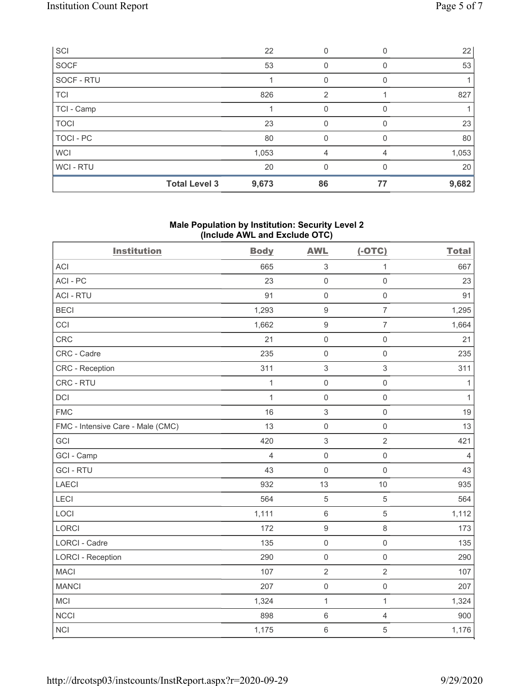| SCI         |                      | 22    | 0        |    | 22    |
|-------------|----------------------|-------|----------|----|-------|
| SOCF        |                      | 53    | 0        | 0  | 53    |
| SOCF - RTU  |                      |       | 0        | 0  |       |
| <b>TCI</b>  |                      | 826   | 2        |    | 827   |
| TCI - Camp  |                      |       | 0        |    |       |
| <b>TOCI</b> |                      | 23    | 0        | 0  | 23    |
| TOCI - PC   |                      | 80    | 0        | 0  | 80    |
| <b>WCI</b>  |                      | 1,053 | 4        |    | 1,053 |
| WCI - RTU   |                      | 20    | $\Omega$ | 0  | 20    |
|             | <b>Total Level 3</b> | 9,673 | 86       | 77 | 9,682 |

# Male Population by Institution: Security Level 2 (Include AWL and Exclude OTC)

| <b>Institution</b>                | <b>Body</b>    | <b>AWL</b>                | $(-OTC)$            | <b>Total</b>   |
|-----------------------------------|----------------|---------------------------|---------------------|----------------|
| <b>ACI</b>                        | 665            | $\sqrt{3}$                | $\mathbf 1$         | 667            |
| ACI-PC                            | 23             | $\mathsf{O}\xspace$       | $\mathsf{O}\xspace$ | 23             |
| <b>ACI - RTU</b>                  | 91             | $\mathbf 0$               | $\mathsf{O}\xspace$ | 91             |
| <b>BECI</b>                       | 1,293          | $\boldsymbol{9}$          | $\overline{7}$      | 1,295          |
| CCI                               | 1,662          | $\boldsymbol{9}$          | $\overline{7}$      | 1,664          |
| CRC                               | 21             | $\mathbf 0$               | $\mathsf{O}\xspace$ | 21             |
| CRC - Cadre                       | 235            | $\mathsf{O}\xspace$       | $\mathsf{O}\xspace$ | 235            |
| CRC - Reception                   | 311            | $\sqrt{3}$                | $\mathfrak{S}$      | 311            |
| CRC - RTU                         | $\mathbf{1}$   | $\mathsf{O}\xspace$       | $\mathsf 0$         | $\mathbf{1}$   |
| <b>DCI</b>                        | $\mathbf{1}$   | $\mathbf 0$               | $\mathsf{O}\xspace$ | $\mathbf{1}$   |
| <b>FMC</b>                        | 16             | $\ensuremath{\mathsf{3}}$ | $\mathsf 0$         | 19             |
| FMC - Intensive Care - Male (CMC) | 13             | $\mathbf 0$               | $\mathsf{O}\xspace$ | 13             |
| GCI                               | 420            | $\sqrt{3}$                | $\overline{2}$      | 421            |
| GCI - Camp                        | $\overline{4}$ | $\mathsf{O}\xspace$       | $\mathsf{O}\xspace$ | $\overline{4}$ |
| <b>GCI-RTU</b>                    | 43             | $\mathsf{O}\xspace$       | $\mathsf{O}\xspace$ | 43             |
| <b>LAECI</b>                      | 932            | 13                        | 10                  | 935            |
| LECI                              | 564            | 5                         | $\sqrt{5}$          | 564            |
| LOCI                              | 1,111          | $\,6\,$                   | 5                   | 1,112          |
| <b>LORCI</b>                      | 172            | $\boldsymbol{9}$          | $\,8\,$             | 173            |
| <b>LORCI - Cadre</b>              | 135            | $\mathsf{O}\xspace$       | $\mathsf{O}\xspace$ | 135            |
| <b>LORCI - Reception</b>          | 290            | $\mathbf 0$               | $\mathsf{O}\xspace$ | 290            |
| <b>MACI</b>                       | 107            | $\sqrt{2}$                | $\overline{2}$      | 107            |
| <b>MANCI</b>                      | 207            | $\mathsf{O}\xspace$       | $\mathsf{O}\xspace$ | 207            |
| <b>MCI</b>                        | 1,324          | $\mathbf{1}$              | $\mathbf{1}$        | 1,324          |
| <b>NCCI</b>                       | 898            | $\,6\,$                   | $\sqrt{4}$          | 900            |
| <b>NCI</b>                        | 1,175          | $\,6\,$                   | 5                   | 1,176          |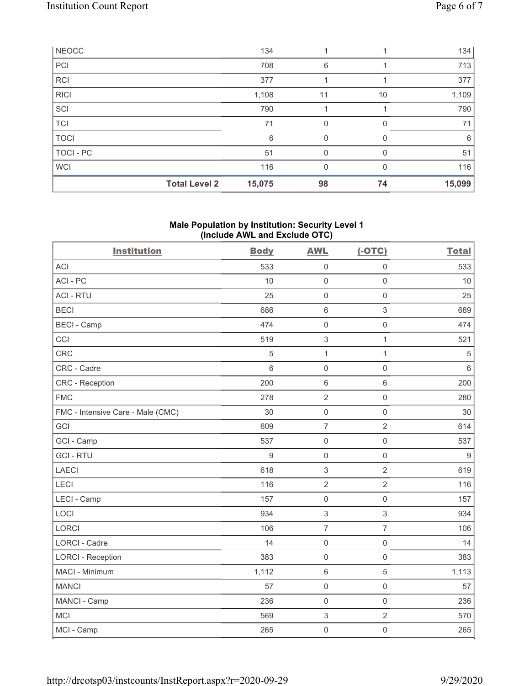| <b>NEOCC</b> |                      | 134    |    |              | 134    |
|--------------|----------------------|--------|----|--------------|--------|
| PCI          |                      | 708    | 6  |              | 713    |
| <b>RCI</b>   |                      | 377    |    |              | 377    |
| <b>RICI</b>  |                      | 1,108  | 11 | 10           | 1,109  |
| SCI          |                      | 790    |    |              | 790    |
| <b>TCI</b>   |                      | 71     | 0  | $\Omega$     | 71     |
| <b>TOCI</b>  |                      | 6      | 0  |              | 6      |
| TOCI - PC    |                      | 51     | 0  |              | 51     |
| <b>WCI</b>   |                      | 116    | 0  | <sup>0</sup> | 116    |
|              | <b>Total Level 2</b> | 15,075 | 98 | 74           | 15,099 |

# Male Population by Institution: Security Level 1 (Include AWL and Exclude OTC)

| <b>Institution</b>                | <b>Body</b> | <b>AWL</b>                | $(-OTC)$            | <b>Total</b> |
|-----------------------------------|-------------|---------------------------|---------------------|--------------|
| <b>ACI</b>                        | 533         | $\mathsf{O}\xspace$       | $\mathsf 0$         | 533          |
| ACI-PC                            | 10          | $\mathbf 0$               | $\mathsf{O}\xspace$ | 10           |
| <b>ACI - RTU</b>                  | 25          | $\mathbf 0$               | $\mathsf{O}\xspace$ | 25           |
| <b>BECI</b>                       | 686         | $\,6\,$                   | $\,$ 3 $\,$         | 689          |
| <b>BECI - Camp</b>                | 474         | $\mathbf 0$               | $\mathsf{O}\xspace$ | 474          |
| CCI                               | 519         | $\,$ 3 $\,$               | $\mathbf{1}$        | 521          |
| <b>CRC</b>                        | 5           | 1                         | $\mathbf 1$         | $\,$ 5 $\,$  |
| CRC - Cadre                       | 6           | $\mathsf{O}\xspace$       | $\mathsf{O}\xspace$ | $\,6\,$      |
| CRC - Reception                   | 200         | $\,6\,$                   | $\,6\,$             | 200          |
| <b>FMC</b>                        | 278         | $\overline{2}$            | $\mathsf 0$         | 280          |
| FMC - Intensive Care - Male (CMC) | 30          | $\mathsf{O}\xspace$       | $\mathsf 0$         | 30           |
| GCI                               | 609         | $\overline{7}$            | $\sqrt{2}$          | 614          |
| GCI - Camp                        | 537         | $\mathsf{O}\xspace$       | $\mathsf{O}\xspace$ | 537          |
| <b>GCI-RTU</b>                    | 9           | $\mathbf 0$               | $\mathsf 0$         | $9\,$        |
| <b>LAECI</b>                      | 618         | $\ensuremath{\mathsf{3}}$ | $\overline{2}$      | 619          |
| LECI                              | 116         | $\overline{2}$            | $\overline{2}$      | 116          |
| LECI - Camp                       | 157         | $\mathbf 0$               | $\mathsf{O}\xspace$ | 157          |
| LOCI                              | 934         | $\ensuremath{\mathsf{3}}$ | $\,$ 3 $\,$         | 934          |
| <b>LORCI</b>                      | 106         | $\overline{7}$            | $\overline{7}$      | 106          |
| <b>LORCI - Cadre</b>              | 14          | $\mathsf{O}\xspace$       | $\mathsf{O}\xspace$ | 14           |
| <b>LORCI - Reception</b>          | 383         | $\mathsf{O}\xspace$       | $\mathsf{O}\xspace$ | 383          |
| MACI - Minimum                    | 1,112       | $\,6\,$                   | $\sqrt{5}$          | 1,113        |
| <b>MANCI</b>                      | 57          | $\mathsf{O}\xspace$       | $\mathsf{O}\xspace$ | 57           |
| MANCI - Camp                      | 236         | $\mathsf{O}\xspace$       | $\mathsf{O}\xspace$ | 236          |
| <b>MCI</b>                        | 569         | $\ensuremath{\mathsf{3}}$ | $\overline{2}$      | 570          |
| MCI - Camp                        | 265         | $\mathbf 0$               | $\mathsf{O}\xspace$ | 265          |